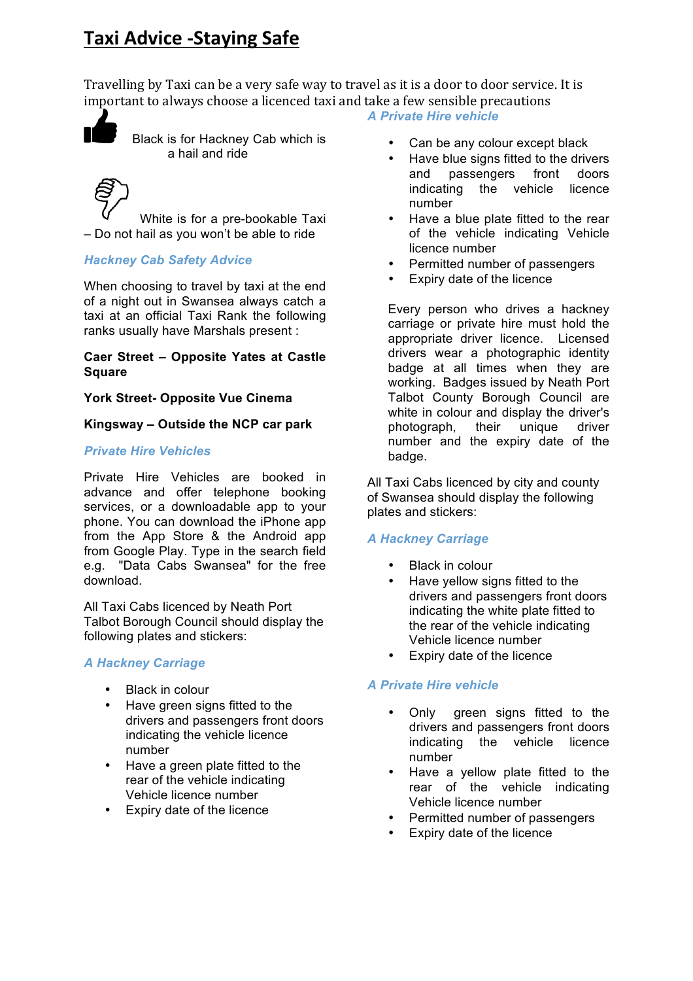# **Taxi Advice -Staying Safe**

Travelling by Taxi can be a very safe way to travel as it is a door to door service. It is important to always choose a licenced taxi and take a few sensible precautions



 Black is for Hackney Cab which is a hail and ride

White is for a pre-bookable Taxi – Do not hail as you won't be able to ride

### *Hackney Cab Safety Advice*

When choosing to travel by taxi at the end of a night out in Swansea always catch a taxi at an official Taxi Rank the following ranks usually have Marshals present :

#### **Caer Street – Opposite Yates at Castle Square**

#### **York Street- Opposite Vue Cinema**

#### **Kingsway – Outside the NCP car park**

### *Private Hire Vehicles*

Private Hire Vehicles are booked in advance and offer telephone booking services, or a downloadable app to your phone. You can download the iPhone app from the App Store & the Android app from Google Play. Type in the search field e.g. "Data Cabs Swansea" for the free download.

All Taxi Cabs licenced by Neath Port Talbot Borough Council should display the following plates and stickers:

#### *A Hackney Carriage*

- Black in colour
- Have green signs fitted to the drivers and passengers front doors indicating the vehicle licence number
- Have a green plate fitted to the rear of the vehicle indicating Vehicle licence number
- Expiry date of the licence

## *A Private Hire vehicle*

- Can be any colour except black
- Have blue signs fitted to the drivers and passengers indicating the vehicle licence number
- Have a blue plate fitted to the rear of the vehicle indicating Vehicle licence number
- Permitted number of passengers
- Expiry date of the licence

Every person who drives a hackney carriage or private hire must hold the appropriate driver licence. Licensed drivers wear a photographic identity badge at all times when they are working. Badges issued by Neath Port Talbot County Borough Council are white in colour and display the driver's photograph, their unique driver number and the expiry date of the badge.

All Taxi Cabs licenced by city and county of Swansea should display the following plates and stickers:

## *A Hackney Carriage*

- **Black in colour**
- Have vellow signs fitted to the drivers and passengers front doors indicating the white plate fitted to the rear of the vehicle indicating Vehicle licence number
- Expiry date of the licence

#### *A Private Hire vehicle*

- Only green signs fitted to the drivers and passengers front doors indicating the vehicle licence number
- Have a yellow plate fitted to the rear of the vehicle indicating Vehicle licence number
- Permitted number of passengers
- Expiry date of the licence